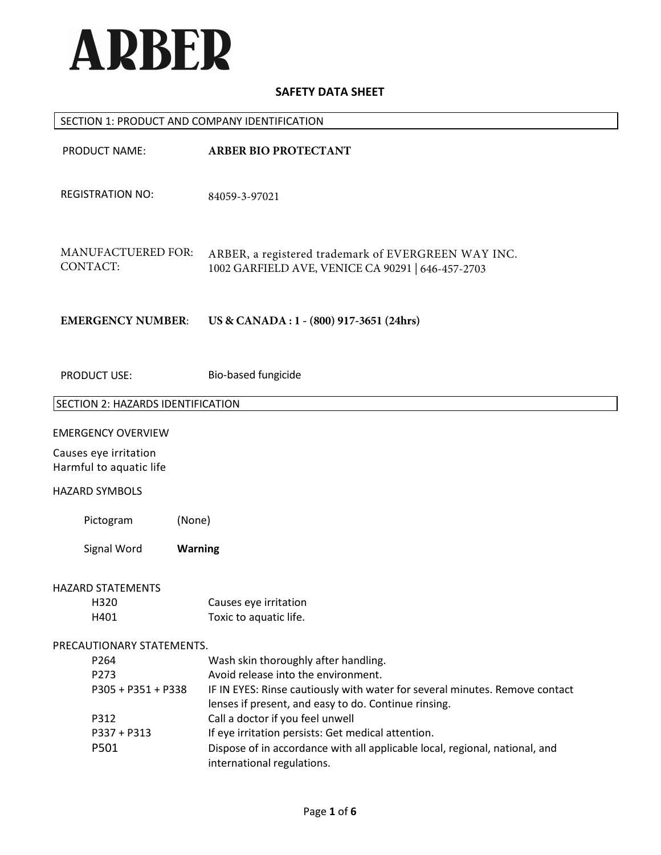

# SECTION 1: PRODUCT AND COMPANY IDENTIFICATION

| PRODUCT NAME:                         |                | <b>ARBER BIO PROTECTANT</b>                                                                                                       |
|---------------------------------------|----------------|-----------------------------------------------------------------------------------------------------------------------------------|
| <b>REGISTRATION NO:</b>               |                | 84059-3-97021                                                                                                                     |
| <b>MANUFACTUERED FOR:</b><br>CONTACT: |                | ARBER, a registered trademark of EVERGREEN WAY INC.<br>1002 GARFIELD AVE, VENICE CA 90291   646-457-2703                          |
| <b>EMERGENCY NUMBER:</b>              |                | US & CANADA : 1 - (800) 917-3651 (24hrs)                                                                                          |
| <b>PRODUCT USE:</b>                   |                | Bio-based fungicide                                                                                                               |
| SECTION 2: HAZARDS IDENTIFICATION     |                |                                                                                                                                   |
| <b>EMERGENCY OVERVIEW</b>             |                |                                                                                                                                   |
| Causes eye irritation                 |                |                                                                                                                                   |
| Harmful to aquatic life               |                |                                                                                                                                   |
| <b>HAZARD SYMBOLS</b>                 |                |                                                                                                                                   |
| Pictogram                             | (None)         |                                                                                                                                   |
| Signal Word                           | <b>Warning</b> |                                                                                                                                   |
| <b>HAZARD STATEMENTS</b>              |                |                                                                                                                                   |
| H320                                  |                | Causes eye irritation                                                                                                             |
| H401                                  |                | Toxic to aquatic life.                                                                                                            |
| PRECAUTIONARY STATEMENTS.             |                |                                                                                                                                   |
| P264                                  |                | Wash skin thoroughly after handling.                                                                                              |
| P273                                  |                | Avoid release into the environment.                                                                                               |
| P305 + P351 + P338                    |                | IF IN EYES: Rinse cautiously with water for several minutes. Remove contact                                                       |
|                                       |                | lenses if present, and easy to do. Continue rinsing.                                                                              |
| P312                                  |                | Call a doctor if you feel unwell                                                                                                  |
| P337 + P313<br>P501                   |                | If eye irritation persists: Get medical attention.<br>Dispose of in accordance with all applicable local, regional, national, and |
|                                       |                | international regulations.                                                                                                        |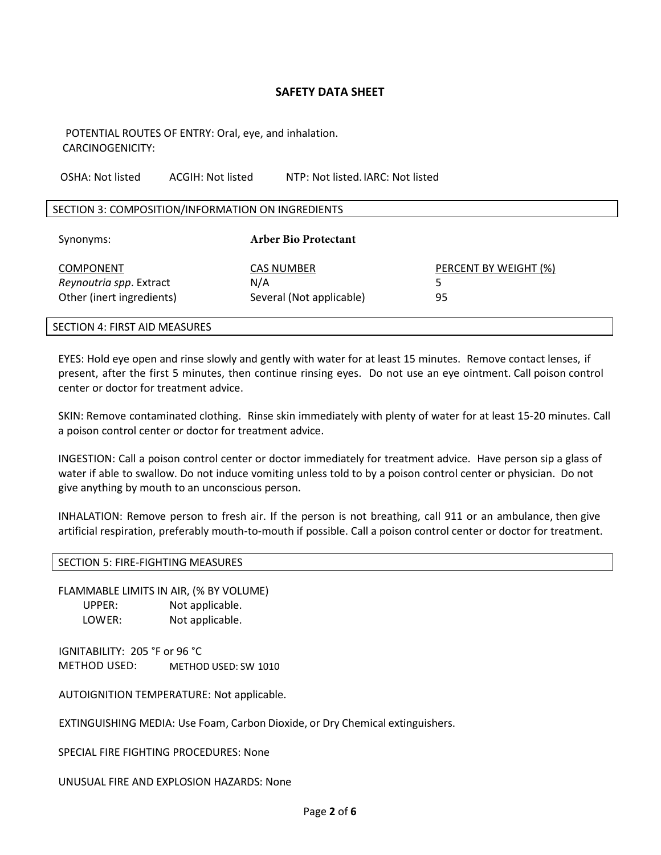POTENTIAL ROUTES OF ENTRY: Oral, eye, and inhalation. CARCINOGENICITY:

OSHA: Not listed ACGIH: Not listed NTP: Not listed. IARC: Not listed

#### SECTION 3: COMPOSITION/INFORMATION ON INGREDIENTS

| Synonyms:                                                                | <b>Arber Bio Protectant</b>                   |                             |
|--------------------------------------------------------------------------|-----------------------------------------------|-----------------------------|
| <b>COMPONENT</b><br>Reynoutria spp. Extract<br>Other (inert ingredients) | CAS NUMBER<br>N/A<br>Several (Not applicable) | PERCENT BY WEIGHT (%)<br>95 |

#### SECTION 4: FIRST AID MEASURES

EYES: Hold eye open and rinse slowly and gently with water for at least 15 minutes. Remove contact lenses, if present, after the first 5 minutes, then continue rinsing eyes. Do not use an eye ointment. Call poison control center or doctor for treatment advice.

SKIN: Remove contaminated clothing. Rinse skin immediately with plenty of water for at least 15-20 minutes. Call a poison control center or doctor for treatment advice.

INGESTION: Call a poison control center or doctor immediately for treatment advice. Have person sip a glass of water if able to swallow. Do not induce vomiting unless told to by a poison control center or physician. Do not give anything by mouth to an unconscious person.

INHALATION: Remove person to fresh air. If the person is not breathing, call 911 or an ambulance, then give artificial respiration, preferably mouth-to-mouth if possible. Call a poison control center or doctor for treatment.

#### SECTION 5: FIRE-FIGHTING MEASURES

FLAMMABLE LIMITS IN AIR, (% BY VOLUME) UPPER: Not applicable. LOWER: Not applicable.

IGNITABILITY: 205 °F or 96 °C METHOD USED: METHOD USED: SW 1010

AUTOIGNITION TEMPERATURE: Not applicable.

EXTINGUISHING MEDIA: Use Foam, Carbon Dioxide, or Dry Chemical extinguishers.

SPECIAL FIRE FIGHTING PROCEDURES: None

UNUSUAL FIRE AND EXPLOSION HAZARDS: None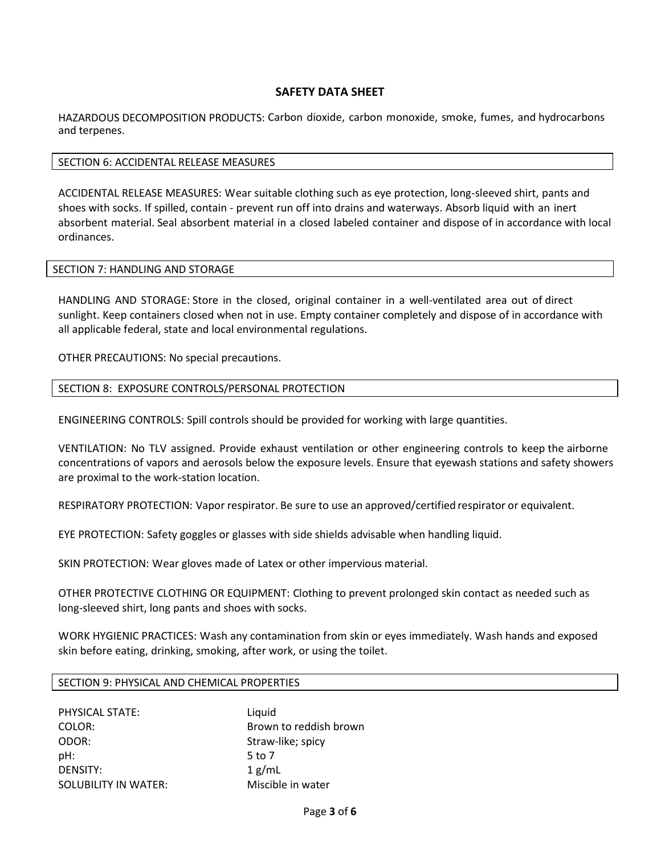HAZARDOUS DECOMPOSITION PRODUCTS: Carbon dioxide, carbon monoxide, smoke, fumes, and hydrocarbons and terpenes.

#### SECTION 6: ACCIDENTAL RELEASE MEASURES

ACCIDENTAL RELEASE MEASURES: Wear suitable clothing such as eye protection, long-sleeved shirt, pants and shoes with socks. If spilled, contain - prevent run off into drains and waterways. Absorb liquid with an inert absorbent material. Seal absorbent material in a closed labeled container and dispose of in accordance with local ordinances.

## SECTION 7: HANDLING AND STORAGE

HANDLING AND STORAGE: Store in the closed, original container in a well-ventilated area out of direct sunlight. Keep containers closed when not in use. Empty container completely and dispose of in accordance with all applicable federal, state and local environmental regulations.

OTHER PRECAUTIONS: No special precautions.

## SECTION 8: EXPOSURE CONTROLS/PERSONAL PROTECTION

ENGINEERING CONTROLS: Spill controls should be provided for working with large quantities.

VENTILATION: No TLV assigned. Provide exhaust ventilation or other engineering controls to keep the airborne concentrations of vapors and aerosols below the exposure levels. Ensure that eyewash stations and safety showers are proximal to the work-station location.

RESPIRATORY PROTECTION: Vapor respirator. Be sure to use an approved/certified respirator or equivalent.

EYE PROTECTION: Safety goggles or glasses with side shields advisable when handling liquid.

SKIN PROTECTION: Wear gloves made of Latex or other impervious material.

OTHER PROTECTIVE CLOTHING OR EQUIPMENT: Clothing to prevent prolonged skin contact as needed such as long-sleeved shirt, long pants and shoes with socks.

WORK HYGIENIC PRACTICES: Wash any contamination from skin or eyes immediately. Wash hands and exposed skin before eating, drinking, smoking, after work, or using the toilet.

#### SECTION 9: PHYSICAL AND CHEMICAL PROPERTIES

| PHYSICAL STATE:      | Liquid                 |
|----------------------|------------------------|
| COLOR:               | Brown to reddish brown |
| ODOR:                | Straw-like; spicy      |
| pH:                  | 5 to 7                 |
| DENSITY:             | 1 g/mL                 |
| SOLUBILITY IN WATER: | Miscible in water      |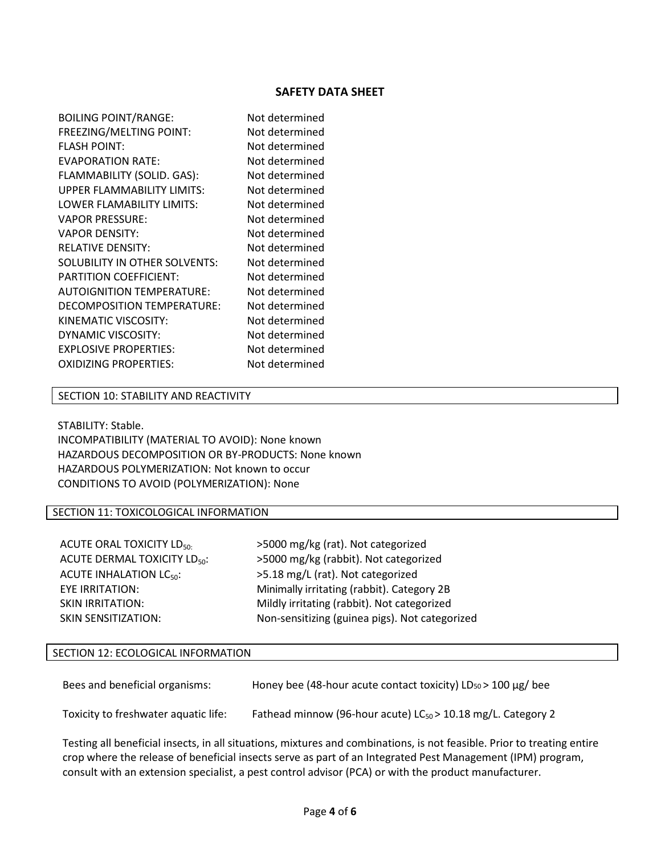| <b>BOILING POINT/RANGE:</b>       | Not determined |
|-----------------------------------|----------------|
| FREEZING/MELTING POINT:           | Not determined |
| <b>FLASH POINT:</b>               | Not determined |
| <b>EVAPORATION RATE:</b>          | Not determined |
| FLAMMABILITY (SOLID. GAS):        | Not determined |
| <b>UPPER FLAMMABILITY LIMITS:</b> | Not determined |
| LOWER FLAMABILITY LIMITS:         | Not determined |
| <b>VAPOR PRESSURE:</b>            | Not determined |
| <b>VAPOR DENSITY:</b>             | Not determined |
| <b>RELATIVE DENSITY:</b>          | Not determined |
| SOLUBILITY IN OTHER SOLVENTS:     | Not determined |
| PARTITION COEFFICIENT:            | Not determined |
| <b>AUTOIGNITION TEMPERATURE:</b>  | Not determined |
| DECOMPOSITION TEMPERATURE:        | Not determined |
| KINEMATIC VISCOSITY:              | Not determined |
| DYNAMIC VISCOSITY:                | Not determined |
| <b>EXPLOSIVE PROPERTIES:</b>      | Not determined |
| <b>OXIDIZING PROPERTIES:</b>      | Not determined |
|                                   |                |

#### SECTION 10: STABILITY AND REACTIVITY

STABILITY: Stable. INCOMPATIBILITY (MATERIAL TO AVOID): None known HAZARDOUS DECOMPOSITION OR BY-PRODUCTS: None known HAZARDOUS POLYMERIZATION: Not known to occur CONDITIONS TO AVOID (POLYMERIZATION): None

# SECTION 11: TOXICOLOGICAL INFORMATION

| ACUTE ORAL TOXICITY LD <sub>50</sub> . |
|----------------------------------------|
| ACUTE DERMAL TOXICITY LD <sub>50</sub> |
| <b>ACUTE INHALATION LC50:</b>          |
| EYE IRRITATION:                        |
| <b>SKIN IRRITATION:</b>                |
| <b>SKIN SENSITIZATION:</b>             |

>5000 mg/kg (rat). Not categorized chtate Derman Depth Depth Depth in S5000 mg/kg (rabbit). Not categorized >5.18 mg/L (rat). Not categorized Minimally irritating (rabbit). Category 2B Mildly irritating (rabbit). Not categorized Non-sensitizing (guinea pigs). Not categorized

#### SECTION 12: ECOLOGICAL INFORMATION

| Bees and beneficial organisms: | Honey bee (48-hour acute contact toxicity) $LD_{50}$ > 100 $\mu$ g/ bee |
|--------------------------------|-------------------------------------------------------------------------|
|                                |                                                                         |

Toxicity to freshwater aquatic life: Fathead minnow (96-hour acute) LC $_{50}$  > 10.18 mg/L. Category 2

Testing all beneficial insects, in all situations, mixtures and combinations, is not feasible. Prior to treating entire crop where the release of beneficial insects serve as part of an Integrated Pest Management (IPM) program, consult with an extension specialist, a pest control advisor (PCA) or with the product manufacturer.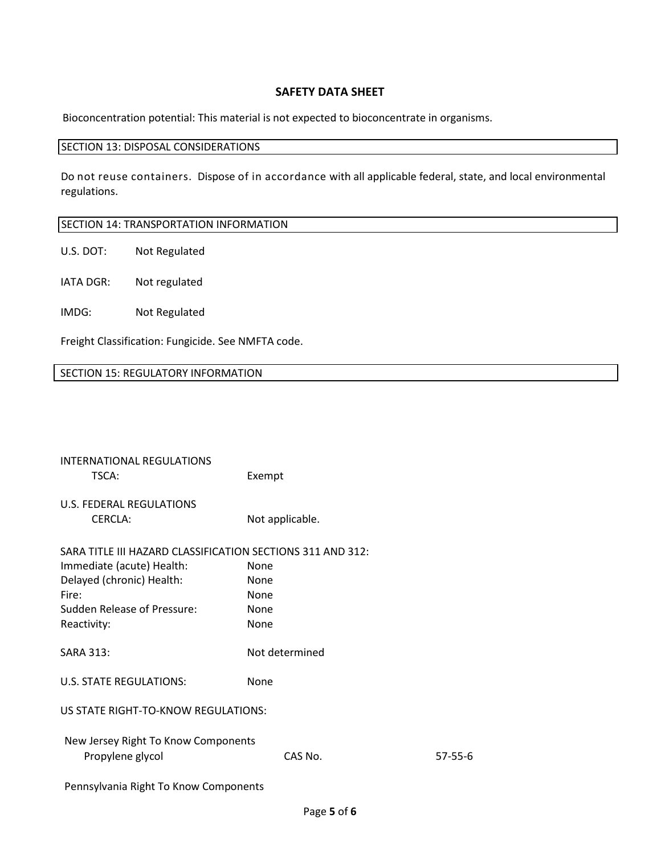Bioconcentration potential: This material is not expected to bioconcentrate in organisms.

#### SECTION 13: DISPOSAL CONSIDERATIONS

Do not reuse containers. Dispose of in accordance with all applicable federal, state, and local environmental regulations.

## SECTION 14: TRANSPORTATION INFORMATION

U.S. DOT: Not Regulated

IATA DGR: Not regulated

IMDG: Not Regulated

Freight Classification: Fungicide. See NMFTA code.

# SECTION 15: REGULATORY INFORMATION

| <b>INTERNATIONAL REGULATIONS</b><br>TSCA:                  | Exempt          |               |  |
|------------------------------------------------------------|-----------------|---------------|--|
| U.S. FEDERAL REGULATIONS<br><b>CERCLA:</b>                 | Not applicable. |               |  |
| SARA TITLE III HAZARD CLASSIFICATION SECTIONS 311 AND 312: |                 |               |  |
| Immediate (acute) Health:                                  | None            |               |  |
| Delayed (chronic) Health:                                  | <b>None</b>     |               |  |
| Fire:                                                      | <b>None</b>     |               |  |
| Sudden Release of Pressure:                                | None            |               |  |
| Reactivity:                                                | None            |               |  |
| <b>SARA 313:</b>                                           | Not determined  |               |  |
| <b>U.S. STATE REGULATIONS:</b>                             | None            |               |  |
| US STATE RIGHT-TO-KNOW REGULATIONS:                        |                 |               |  |
| New Jersey Right To Know Components<br>Propylene glycol    | CAS No.         | $57 - 55 - 6$ |  |
| Pennsylvania Right To Know Components                      |                 |               |  |